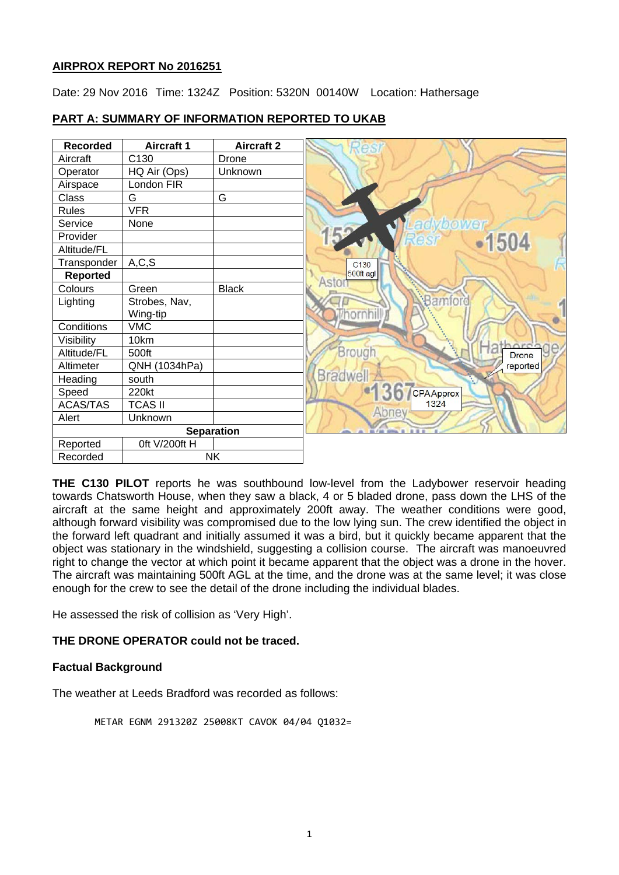# **AIRPROX REPORT No 2016251**

Date: 29 Nov 2016 Time: 1324Z Position: 5320N 00140W Location: Hathersage

#### **Recorded Aircraft 1 Aircraft 2**<br>**Aircraft 2 C130 Drone** Aircraft C130 Drone Operator HQ Air (Ops) Unknown Airspace London FIR<br>Class G Class G G Rules VFR Service None zbo Provider 504 Altitude/FL Transponder A,C,S C130<br>500ft agl **Reported** Asto Colours Green Black Bamford Lighting | Strobes, Nav, Wing-tip<br>VMC hornhi Conditions Visibility 10km e Brough Altitude/FL 500ft Drone Altimeter QNH (1034hPa) reported **Bradwel** Heading south Speed 220kt CPAApprox 1324 ACAS/TAS | TCAS II Alert Unknown **Separation** Reported | 0ft V/200ft H Recorded NK

# **PART A: SUMMARY OF INFORMATION REPORTED TO UKAB**

**THE C130 PILOT** reports he was southbound low-level from the Ladybower reservoir heading towards Chatsworth House, when they saw a black, 4 or 5 bladed drone, pass down the LHS of the aircraft at the same height and approximately 200ft away. The weather conditions were good, although forward visibility was compromised due to the low lying sun. The crew identified the object in the forward left quadrant and initially assumed it was a bird, but it quickly became apparent that the object was stationary in the windshield, suggesting a collision course. The aircraft was manoeuvred right to change the vector at which point it became apparent that the object was a drone in the hover. The aircraft was maintaining 500ft AGL at the time, and the drone was at the same level; it was close enough for the crew to see the detail of the drone including the individual blades.

He assessed the risk of collision as 'Very High'.

# **THE DRONE OPERATOR could not be traced.**

# **Factual Background**

The weather at Leeds Bradford was recorded as follows:

METAR EGNM 291320Z 25008KT CAVOK 04/04 Q1032=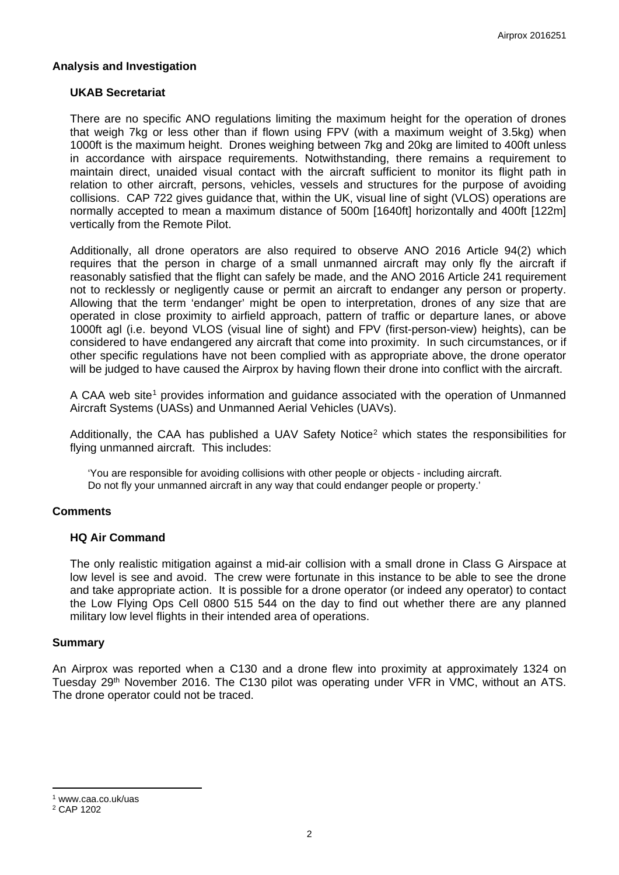## **Analysis and Investigation**

### **UKAB Secretariat**

There are no specific ANO regulations limiting the maximum height for the operation of drones that weigh 7kg or less other than if flown using FPV (with a maximum weight of 3.5kg) when 1000ft is the maximum height. Drones weighing between 7kg and 20kg are limited to 400ft unless in accordance with airspace requirements. Notwithstanding, there remains a requirement to maintain direct, unaided visual contact with the aircraft sufficient to monitor its flight path in relation to other aircraft, persons, vehicles, vessels and structures for the purpose of avoiding collisions. CAP 722 gives guidance that, within the UK, visual line of sight (VLOS) operations are normally accepted to mean a maximum distance of 500m [1640ft] horizontally and 400ft [122m] vertically from the Remote Pilot.

Additionally, all drone operators are also required to observe ANO 2016 Article 94(2) which requires that the person in charge of a small unmanned aircraft may only fly the aircraft if reasonably satisfied that the flight can safely be made, and the ANO 2016 Article 241 requirement not to recklessly or negligently cause or permit an aircraft to endanger any person or property. Allowing that the term 'endanger' might be open to interpretation, drones of any size that are operated in close proximity to airfield approach, pattern of traffic or departure lanes, or above 1000ft agl (i.e. beyond VLOS (visual line of sight) and FPV (first-person-view) heights), can be considered to have endangered any aircraft that come into proximity. In such circumstances, or if other specific regulations have not been complied with as appropriate above, the drone operator will be judged to have caused the Airprox by having flown their drone into conflict with the aircraft.

A CAA web site<sup>[1](#page-1-0)</sup> provides information and quidance associated with the operation of Unmanned Aircraft Systems (UASs) and Unmanned Aerial Vehicles (UAVs).

Additionally, the CAA has published a UAV Safety Notice<sup>[2](#page-1-1)</sup> which states the responsibilities for flying unmanned aircraft. This includes:

'You are responsible for avoiding collisions with other people or objects - including aircraft. Do not fly your unmanned aircraft in any way that could endanger people or property.'

#### **Comments**

#### **HQ Air Command**

The only realistic mitigation against a mid-air collision with a small drone in Class G Airspace at low level is see and avoid. The crew were fortunate in this instance to be able to see the drone and take appropriate action. It is possible for a drone operator (or indeed any operator) to contact the Low Flying Ops Cell 0800 515 544 on the day to find out whether there are any planned military low level flights in their intended area of operations.

#### **Summary**

An Airprox was reported when a C130 and a drone flew into proximity at approximately 1324 on Tuesday 29<sup>th</sup> November 2016. The C130 pilot was operating under VFR in VMC, without an ATS. The drone operator could not be traced.

<span id="page-1-0"></span><sup>1</sup> www.caa.co.uk/uas

 $\overline{a}$ 

<span id="page-1-1"></span><sup>2</sup> CAP 1202